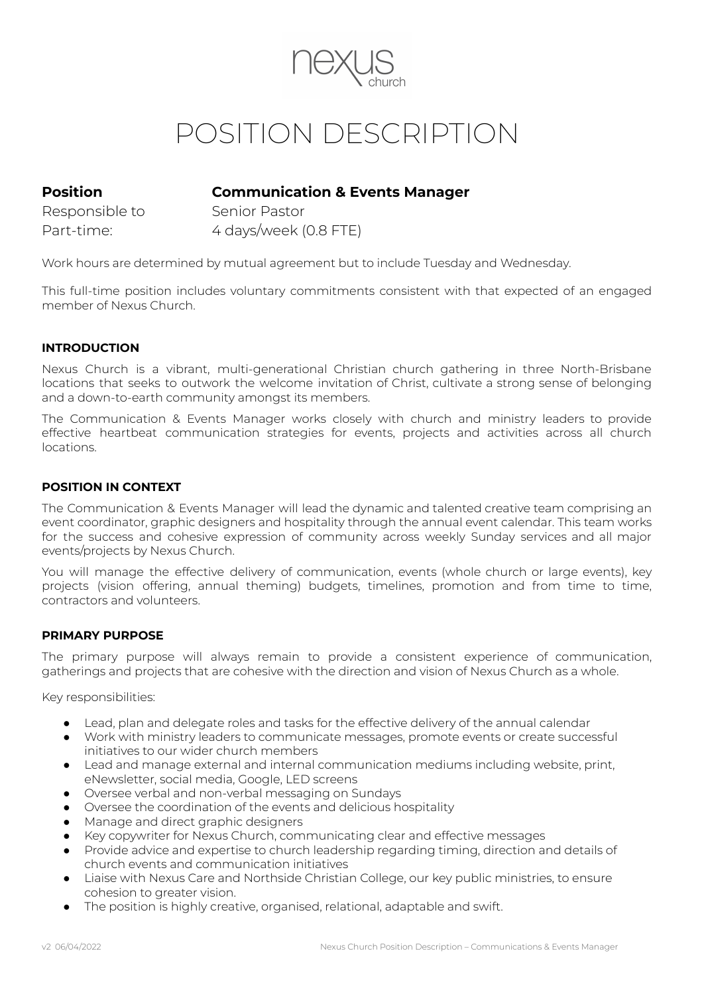

# POSITION DESCRIPTION

## **Position Communication & Events Manager**

Responsible to Senior Pastor

Part-time: 4 days/week (0.8 FTE)

Work hours are determined by mutual agreement but to include Tuesday and Wednesday.

This full-time position includes voluntary commitments consistent with that expected of an engaged member of Nexus Church.

#### **INTRODUCTION**

Nexus Church is a vibrant, multi-generational Christian church gathering in three North-Brisbane locations that seeks to outwork the welcome invitation of Christ, cultivate a strong sense of belonging and a down-to-earth community amongst its members.

The Communication & Events Manager works closely with church and ministry leaders to provide effective heartbeat communication strategies for events, projects and activities across all church locations.

#### **POSITION IN CONTEXT**

The Communication & Events Manager will lead the dynamic and talented creative team comprising an event coordinator, graphic designers and hospitality through the annual event calendar. This team works for the success and cohesive expression of community across weekly Sunday services and all major events/projects by Nexus Church.

You will manage the effective delivery of communication, events (whole church or large events), key projects (vision offering, annual theming) budgets, timelines, promotion and from time to time, contractors and volunteers.

#### **PRIMARY PURPOSE**

The primary purpose will always remain to provide a consistent experience of communication, gatherings and projects that are cohesive with the direction and vision of Nexus Church as a whole.

Key responsibilities:

- Lead, plan and delegate roles and tasks for the effective delivery of the annual calendar
- Work with ministry leaders to communicate messages, promote events or create successful initiatives to our wider church members
- Lead and manage external and internal communication mediums including website, print, eNewsletter, social media, Google, LED screens
- Oversee verbal and non-verbal messaging on Sundays
- Oversee the coordination of the events and delicious hospitality
- Manage and direct graphic designers
- Key copywriter for Nexus Church, communicating clear and effective messages
- Provide advice and expertise to church leadership regarding timing, direction and details of church events and communication initiatives
- Liaise with Nexus Care and Northside Christian College, our key public ministries, to ensure cohesion to greater vision.
- The position is highly creative, organised, relational, adaptable and swift.